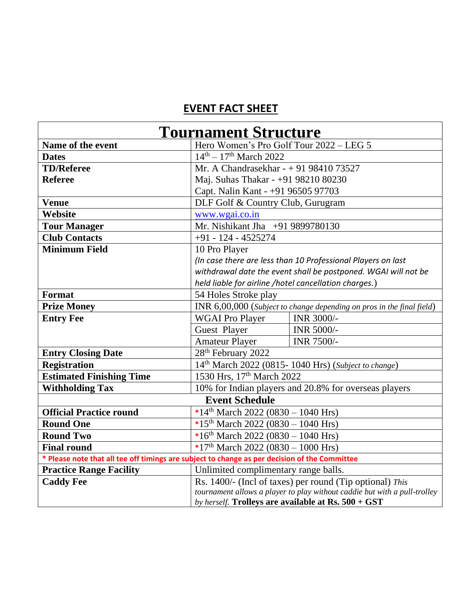## **EVENT FACT SHEET**

| <b>Tournament Structure</b>                                                                   |                                                                           |                   |  |
|-----------------------------------------------------------------------------------------------|---------------------------------------------------------------------------|-------------------|--|
| Name of the event                                                                             | Hero Women's Pro Golf Tour 2022 - LEG 5                                   |                   |  |
| <b>Dates</b>                                                                                  | $14^{th} - 17^{th}$ March 2022                                            |                   |  |
| <b>TD/Referee</b>                                                                             | Mr. A Chandrasekhar - $+919841073527$                                     |                   |  |
| <b>Referee</b>                                                                                | Maj. Suhas Thakar - +91 98210 80230                                       |                   |  |
|                                                                                               | Capt. Nalin Kant - +91 96505 97703                                        |                   |  |
| <b>Venue</b>                                                                                  | DLF Golf & Country Club, Gurugram                                         |                   |  |
| Website                                                                                       | www.wgai.co.in                                                            |                   |  |
| <b>Tour Manager</b>                                                                           | Mr. Nishikant Jha +91 9899780130                                          |                   |  |
| <b>Club Contacts</b>                                                                          | $+91 - 124 - 4525274$                                                     |                   |  |
| <b>Minimum Field</b>                                                                          | 10 Pro Player                                                             |                   |  |
|                                                                                               | (In case there are less than 10 Professional Players on last              |                   |  |
|                                                                                               | withdrawal date the event shall be postponed. WGAI will not be            |                   |  |
|                                                                                               | held liable for airline /hotel cancellation charges.)                     |                   |  |
| Format                                                                                        | 54 Holes Stroke play                                                      |                   |  |
| <b>Prize Money</b>                                                                            | INR 6,00,000 (Subject to change depending on pros in the final field)     |                   |  |
| <b>Entry Fee</b>                                                                              | <b>WGAI</b> Pro Player                                                    | INR 3000/-        |  |
|                                                                                               | Guest Player                                                              | INR 5000/-        |  |
|                                                                                               | <b>Amateur Player</b>                                                     | <b>INR 7500/-</b> |  |
| <b>Entry Closing Date</b>                                                                     | 28 <sup>th</sup> February 2022                                            |                   |  |
| <b>Registration</b>                                                                           | 14 <sup>th</sup> March 2022 (0815-1040 Hrs) (Subject to change)           |                   |  |
| <b>Estimated Finishing Time</b>                                                               | 1530 Hrs, 17th March 2022                                                 |                   |  |
| <b>Withholding Tax</b>                                                                        | 10% for Indian players and 20.8% for overseas players                     |                   |  |
| <b>Event Schedule</b>                                                                         |                                                                           |                   |  |
| <b>Official Practice round</b>                                                                | *14 <sup>th</sup> March 2022 (0830 – 1040 Hrs)                            |                   |  |
| <b>Round One</b>                                                                              | *15 <sup>th</sup> March 2022 (0830 - 1040 Hrs)                            |                   |  |
| <b>Round Two</b>                                                                              | *16 <sup>th</sup> March 2022 (0830 - 1040 Hrs)                            |                   |  |
| <b>Final round</b>                                                                            | *17 <sup>th</sup> March 2022 (0830 - 1000 Hrs)                            |                   |  |
| * Please note that all tee off timings are subject to change as per decision of the Committee |                                                                           |                   |  |
| <b>Practice Range Facility</b>                                                                | Unlimited complimentary range balls.                                      |                   |  |
| <b>Caddy Fee</b>                                                                              | Rs. 1400/- (Incl of taxes) per round (Tip optional) This                  |                   |  |
|                                                                                               | tournament allows a player to play without caddie but with a pull-trolley |                   |  |
|                                                                                               | by herself. Trolleys are available at Rs. 500 + GST                       |                   |  |